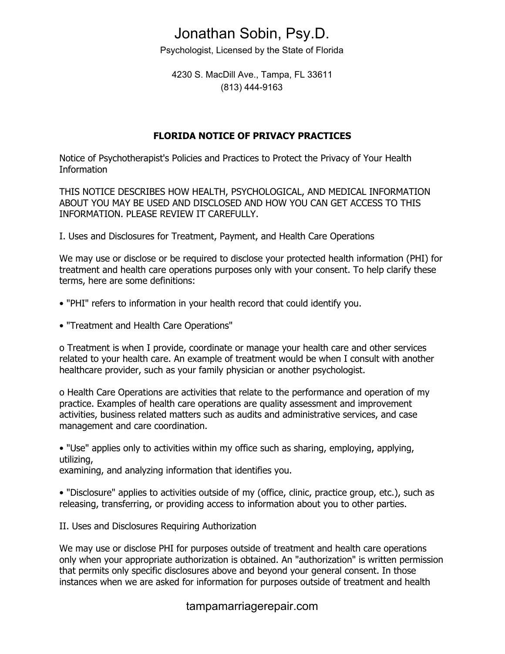Psychologist, Licensed by the State of Florida

4230 S. MacDill Ave., Tampa, FL 33611 (813) 444-9163

#### **FLORIDA NOTICE OF PRIVACY PRACTICES**

Notice of Psychotherapist's Policies and Practices to Protect the Privacy of Your Health Information

THIS NOTICE DESCRIBES HOW HEALTH, PSYCHOLOGICAL, AND MEDICAL INFORMATION ABOUT YOU MAY BE USED AND DISCLOSED AND HOW YOU CAN GET ACCESS TO THIS INFORMATION. PLEASE REVIEW IT CAREFULLY.

I. Uses and Disclosures for Treatment, Payment, and Health Care Operations

We may use or disclose or be required to disclose your protected health information (PHI) for treatment and health care operations purposes only with your consent. To help clarify these terms, here are some definitions:

- "PHI" refers to information in your health record that could identify you.
- "Treatment and Health Care Operations"

o Treatment is when I provide, coordinate or manage your health care and other services related to your health care. An example of treatment would be when I consult with another healthcare provider, such as your family physician or another psychologist.

o Health Care Operations are activities that relate to the performance and operation of my practice. Examples of health care operations are quality assessment and improvement activities, business related matters such as audits and administrative services, and case management and care coordination.

• "Use" applies only to activities within my office such as sharing, employing, applying, utilizing,

examining, and analyzing information that identifies you.

• "Disclosure" applies to activities outside of my (office, clinic, practice group, etc.), such as releasing, transferring, or providing access to information about you to other parties.

II. Uses and Disclosures Requiring Authorization

We may use or disclose PHI for purposes outside of treatment and health care operations only when your appropriate authorization is obtained. An "authorization" is written permission that permits only specific disclosures above and beyond your general consent. In those instances when we are asked for information for purposes outside of treatment and health

### tampamarriagerepair.com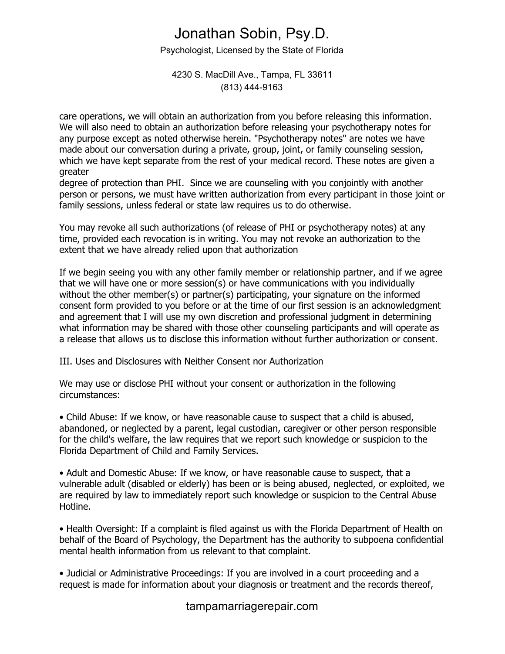Psychologist, Licensed by the State of Florida

#### 4230 S. MacDill Ave., Tampa, FL 33611 (813) 444-9163

care operations, we will obtain an authorization from you before releasing this information. We will also need to obtain an authorization before releasing your psychotherapy notes for any purpose except as noted otherwise herein. "Psychotherapy notes" are notes we have made about our conversation during a private, group, joint, or family counseling session, which we have kept separate from the rest of your medical record. These notes are given a greater

degree of protection than PHI. Since we are counseling with you conjointly with another person or persons, we must have written authorization from every participant in those joint or family sessions, unless federal or state law requires us to do otherwise.

You may revoke all such authorizations (of release of PHI or psychotherapy notes) at any time, provided each revocation is in writing. You may not revoke an authorization to the extent that we have already relied upon that authorization

If we begin seeing you with any other family member or relationship partner, and if we agree that we will have one or more session(s) or have communications with you individually without the other member(s) or partner(s) participating, your signature on the informed consent form provided to you before or at the time of our first session is an acknowledgment and agreement that I will use my own discretion and professional judgment in determining what information may be shared with those other counseling participants and will operate as a release that allows us to disclose this information without further authorization or consent.

III. Uses and Disclosures with Neither Consent nor Authorization

We may use or disclose PHI without your consent or authorization in the following circumstances:

• Child Abuse: If we know, or have reasonable cause to suspect that a child is abused, abandoned, or neglected by a parent, legal custodian, caregiver or other person responsible for the child's welfare, the law requires that we report such knowledge or suspicion to the Florida Department of Child and Family Services.

• Adult and Domestic Abuse: If we know, or have reasonable cause to suspect, that a vulnerable adult (disabled or elderly) has been or is being abused, neglected, or exploited, we are required by law to immediately report such knowledge or suspicion to the Central Abuse Hotline.

• Health Oversight: If a complaint is filed against us with the Florida Department of Health on behalf of the Board of Psychology, the Department has the authority to subpoena confidential mental health information from us relevant to that complaint.

• Judicial or Administrative Proceedings: If you are involved in a court proceeding and a request is made for information about your diagnosis or treatment and the records thereof,

tampamarriagerepair.com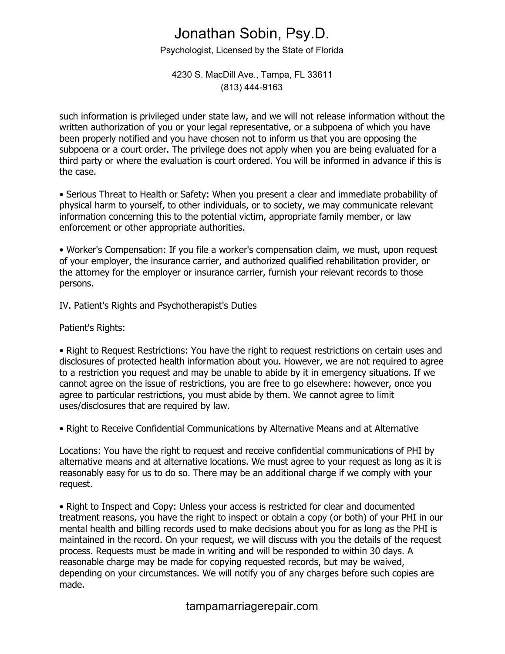Psychologist, Licensed by the State of Florida

#### 4230 S. MacDill Ave., Tampa, FL 33611 (813) 444-9163

such information is privileged under state law, and we will not release information without the written authorization of you or your legal representative, or a subpoena of which you have been properly notified and you have chosen not to inform us that you are opposing the subpoena or a court order. The privilege does not apply when you are being evaluated for a third party or where the evaluation is court ordered. You will be informed in advance if this is the case.

• Serious Threat to Health or Safety: When you present a clear and immediate probability of physical harm to yourself, to other individuals, or to society, we may communicate relevant information concerning this to the potential victim, appropriate family member, or law enforcement or other appropriate authorities.

• Worker's Compensation: If you file a worker's compensation claim, we must, upon request of your employer, the insurance carrier, and authorized qualified rehabilitation provider, or the attorney for the employer or insurance carrier, furnish your relevant records to those persons.

IV. Patient's Rights and Psychotherapist's Duties

Patient's Rights:

• Right to Request Restrictions: You have the right to request restrictions on certain uses and disclosures of protected health information about you. However, we are not required to agree to a restriction you request and may be unable to abide by it in emergency situations. If we cannot agree on the issue of restrictions, you are free to go elsewhere: however, once you agree to particular restrictions, you must abide by them. We cannot agree to limit uses/disclosures that are required by law.

• Right to Receive Confidential Communications by Alternative Means and at Alternative

Locations: You have the right to request and receive confidential communications of PHI by alternative means and at alternative locations. We must agree to your request as long as it is reasonably easy for us to do so. There may be an additional charge if we comply with your request.

• Right to Inspect and Copy: Unless your access is restricted for clear and documented treatment reasons, you have the right to inspect or obtain a copy (or both) of your PHI in our mental health and billing records used to make decisions about you for as long as the PHI is maintained in the record. On your request, we will discuss with you the details of the request process. Requests must be made in writing and will be responded to within 30 days. A reasonable charge may be made for copying requested records, but may be waived, depending on your circumstances. We will notify you of any charges before such copies are made.

### tampamarriagerepair.com